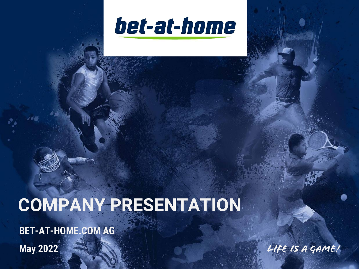

# **COMPANY PRESENTATION**

**BET-AT-HOME.COM AG**

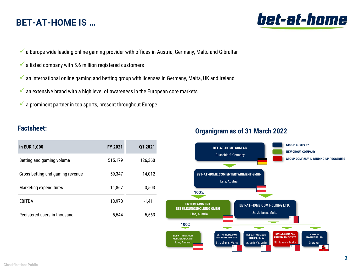# **BET-AT-HOME IS …**

- $\checkmark$  a Europe-wide leading online gaming provider with offices in Austria, Germany, Malta and Gibraltar
- $\checkmark$  a listed company with 5.6 million registered customers
- $\checkmark$  an international online gaming and betting group with licenses in Germany, Malta, UK and Ireland
- $\checkmark$  an extensive brand with a high level of awareness in the European core markets
- $\checkmark$  a prominent partner in top sports, present throughout Europe

### **Factsheet:**

| in EUR 1,000                     | <b>FY 2021</b> | 01 2021  |
|----------------------------------|----------------|----------|
| Betting and gaming volume        | 515,179        | 126.360  |
| Gross betting and gaming revenue | 59,347         | 14,012   |
| Marketing expenditures           | 11,867         | 3,503    |
| EBITDA                           | 13,970         | $-1.411$ |
| Registered users in thousand     | 5.544          | 5,563    |

### **Organigram as of 31 March 2022**



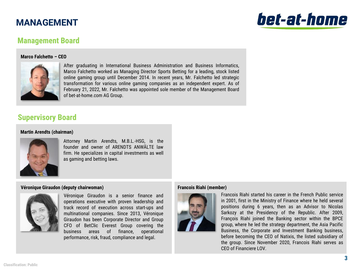# **MANAGEMENT**

# bet-at-home

## **Management Board**

### **Marco Falchetto – CEO**



After graduating in International Business Administration and Business Informatics, Marco Falchetto worked as Managing Director Sports Betting for a leading, stock listed online gaming group until December 2014. In recent years, Mr. Falchetto led strategic transformation for various online gaming companies as an independent expert. As of February 21, 2022, Mr. Falchetto was appointed sole member of the Management Board of bet-at-home.com AG Group.

### **Supervisory Board**

### **Martin Arendts (chairman)**



Attorney Martin Arendts, M.B.L.-HSG, is the founder and owner of ARENDTS ANWÄLTE law firm. He specializes in capital investments as well as gaming and betting laws.

### **Véronique Giraudon (deputy chairwoman)**



Véronique Giraudon is a senior finance and operations executive with proven leadership and track record of execution across start-ups and multinational companies. Since 2013, Véronique Giraudon has been Corporate Director and Group CFO of BetClic Everest Group covering the business areas of finance, operational performance, risk, fraud, compliance and legal.

### **Francois Riahi (member)**



Francois Riahi started his career in the French Public service in 2001, first in the Ministry of Finance where he held several positions during 6 years, then as an Advisor to Nicolas Sarkozy at the Presidency of the Republic. After 2009, François Riahi joined the Banking sector within the BPCE group, where he led the strategy department, the Asia Pacific Business, the Corporate and Investment Banking business, before becoming the CEO of Natixis, the listed subsidiary of the group. Since November 2020, Francois Riahi serves as CEO of Financiere LOV.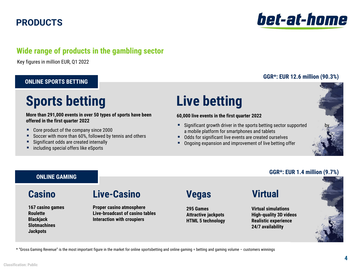# **PRODUCTS**

### **Wide range of products in the gambling sector**

Key figures in million EUR, Q1 2022

### **ONLINE SPORTS BETTING**

# **Sports betting Live betting**

### **More than 291,000 events in over 50 types of sports have been offered in the first quarter 2022**

- Core product of the company since 2000
- Soccer with more than 60%, followed by tennis and others
- Significant odds are created internally
- including special offers like eSports

### **60,000 live events in the first quarter 2022**

- Significant growth driver in the sports betting sector supported a mobile platform for smartphones and tablets
- Odds for significant live events are created ourselves
- Ongoing expansion and improvement of live betting offer



### **GGR\*: EUR 1.4 million (9.7%)**

bet-at-home

# **ONLINE GAMING**

**167 casino games Roulette Blackjack Slotmachines Jackpots**

# **Casino Live-Casino Vegas Virtual**

**Proper casino atmosphere Live-broadcast of casino tables Interaction with croupiers**

**295 Games Attractive jackpots HTML 5 technology**

**Virtual simulations High-quality 3D videos Realistic experience 24/7 availability** 



\* "Gross Gaming Revenue" is the most important figure in the market for online sportsbetting and online gaming = betting and gaming volume – customers winnings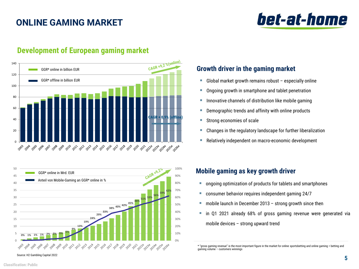# **ONLINE GAMING MARKET**





### **Development of European gaming market**



- $\blacksquare$  Global market growth remains robust especially online
- Ongoing growth in smartphone and tablet penetration
- **E** Innovative channels of distribution like mobile gaming
- Demographic trends and affinity with online products
- Strong economies of scale
- Changes in the regulatory landscape for further liberalization
- Relatively independent on macro-economic development

### **Mobile gaming as key growth driver**

- ongoing optimization of products for tablets and smartphones
- consumer behavior requires independent gaming 24/7
- $\blacksquare$  mobile launch in December 2013 strong growth since then
- in Q1 2021 already 68% of gross gaming revenue were generated via mobile devices – strong upward trend

**Growth driver in the gaming market**

<sup>\*</sup> "gross gaming revenue" is the most important figure in the market for online sportsbetting and online gaming = betting and gaming volume – customers winnings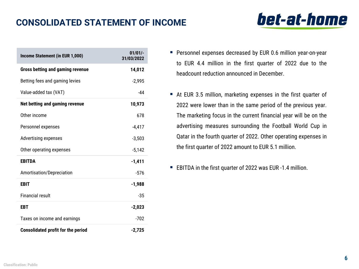# **CONSOLIDATED STATEMENT OF INCOME**

| Income Statement (in EUR 1,000)           | $01/01/-$<br>31/03/2022 |
|-------------------------------------------|-------------------------|
| <b>Gross betting and gaming revenue</b>   | 14,012                  |
| Betting fees and gaming levies            | $-2,995$                |
| Value-added tax (VAT)                     | -44                     |
| Net betting and gaming revenue            | 10,973                  |
| Other income                              | 678                     |
| Personnel expenses                        | $-4,417$                |
| <b>Advertising expenses</b>               | $-3,503$                |
| Other operating expenses                  | $-5,142$                |
| <b>EBITDA</b>                             | $-1,411$                |
| Amortisation/Depreciation                 | $-576$                  |
| <b>EBIT</b>                               | $-1,988$                |
| <b>Financial result</b>                   | $-35$                   |
| <b>EBT</b>                                | $-2,023$                |
| Taxes on income and earnings              | $-702$                  |
| <b>Consolidated profit for the period</b> | $-2,725$                |

- **•** Personnel expenses decreased by EUR 0.6 million year-on-year to EUR 4.4 million in the first quarter of 2022 due to the headcount reduction announced in December.
- At EUR 3.5 million, marketing expenses in the first quarter of 2022 were lower than in the same period of the previous year. The marketing focus in the current financial year will be on the advertising measures surrounding the Football World Cup in Qatar in the fourth quarter of 2022. Other operating expenses in the first quarter of 2022 amount to EUR 5.1 million.
- EBITDA in the first quarter of 2022 was EUR -1.4 million.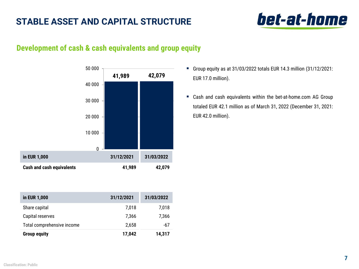# **STABLE ASSET AND CAPITAL STRUCTURE**

# bet-at-home

## **Development of cash & cash equivalents and group equity**



| in EUR 1,000               | 31/12/2021 | 31/03/2022 |
|----------------------------|------------|------------|
| Share capital              | 7,018      | 7,018      |
| Capital reserves           | 7,366      | 7,366      |
| Total comprehensive income | 2,658      | -67        |
| <b>Group equity</b>        | 17,042     | 14,317     |

- Group equity as at 31/03/2022 totals EUR 14.3 million (31/12/2021: EUR 17.0 million).
- Cash and cash equivalents within the bet-at-home.com AG Group totaled EUR 42.1 million as of March 31, 2022 (December 31, 2021: EUR 42.0 million).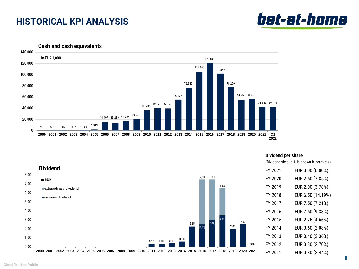# **HISTORICAL KPI ANALYSIS**



0 20 000 40 000 60 000 80 000 100 000 120 000 140 000 2000 2001 2002 2003 2004 2005 2006 2007 2008 2009 2010 2011 2012 2013 2014 2015 2016 2017 2018 2019 2020 2021 Q1 **2022** 55.177 76.522 105.105 120.849 40.121 39.597 36.235 101.849 20.678 14.497 13.230 16.901 1.913 <sup>96</sup> <sup>561</sup> <sup>907</sup> <sup>397</sup> 1.049 78.299 in EUR 1,000 54.756 56.807 41.989 42.079

**Cash and cash equivalents**

### **Dividend per share**

(Dividend yield in % is shown in brackets)



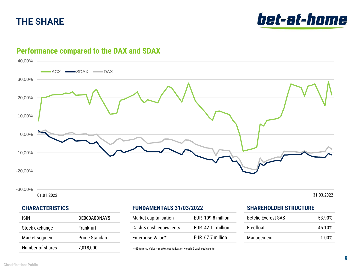# **THE SHARE**





## **Performance compared to the DAX and SDAX**

-30,00%

01.01.2022 31.03.2022

### **CHARACTERISTICS**

| ISIN             | DE000A0DNAY5   |
|------------------|----------------|
| Stock exchange   | Frankfurt      |
| Market segment   | Prime Standard |
| Number of shares | 7,018,000      |

## **FUNDAMENTALS 31/03/2022**

| Market capitalisation   | EUR 109.8 million |
|-------------------------|-------------------|
| Cash & cash equivalents | EUR 42.1 million  |
| Enterprise Value*       | EUR 67.7 million  |

\*) Enterprise Value = market capitalisation – cash & cash equivalents

### **SHAREHOLDER STRUCTURE**

| <b>Betclic Everest SAS</b> | 53.90% |
|----------------------------|--------|
| <b>Freefloat</b>           | 45.10% |
| Management                 | 1.00%  |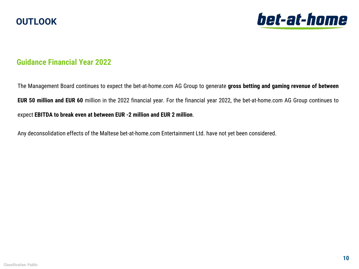



## **Guidance Financial Year 2022**

The Management Board continues to expect the bet-at-home.com AG Group to generate **gross betting and gaming revenue of between EUR 50 million and EUR 60** million in the 2022 financial year. For the financial year 2022, the bet-at-home.com AG Group continues to expect **EBITDA to break even at between EUR -2 million and EUR 2 million**.

Any deconsolidation effects of the Maltese bet-at-home.com Entertainment Ltd. have not yet been considered.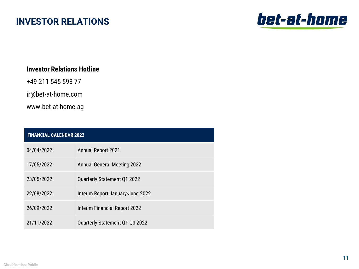# **INVESTOR RELATIONS**



### **Investor Relations Hotline**

+49 211 545 598 77

ir@bet-at-home.com

www.bet-at-home.ag

| <b>FINANCIAL CALENDAR 2022</b> |                                      |
|--------------------------------|--------------------------------------|
| 04/04/2022                     | <b>Annual Report 2021</b>            |
| 17/05/2022                     | <b>Annual General Meeting 2022</b>   |
| 23/05/2022                     | Quarterly Statement Q1 2022          |
| 22/08/2022                     | Interim Report January-June 2022     |
| 26/09/2022                     | <b>Interim Financial Report 2022</b> |
| 21/11/2022                     | Quarterly Statement Q1-Q3 2022       |